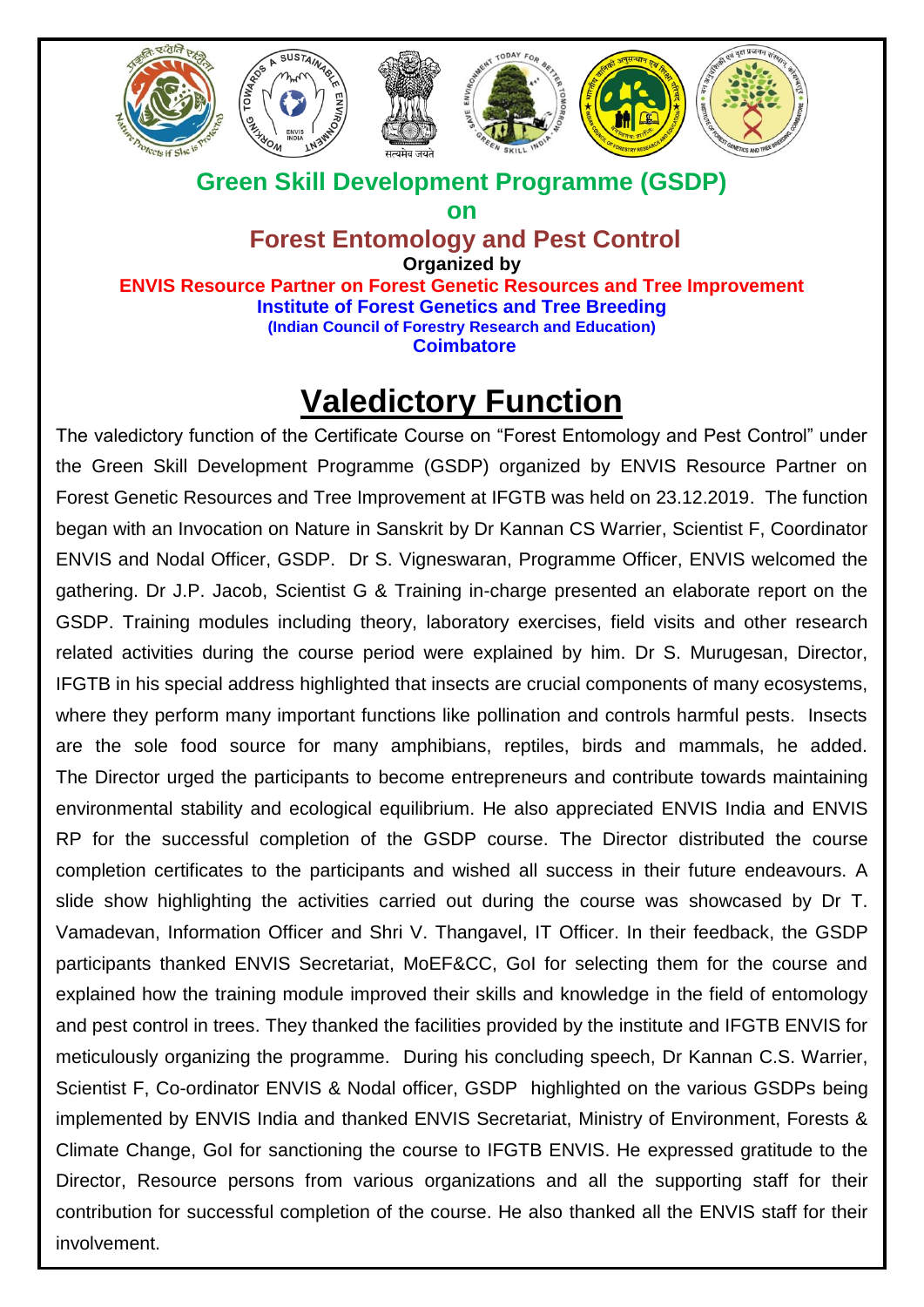

## **on Forest Entomology and Pest Control Organized by ENVIS Resource Partner on Forest Genetic Resources and Tree Improvement Institute of Forest Genetics and Tree Breeding (Indian Council of Forestry Research and Education) Coimbatore**

## **Valedictory Function**

The valedictory function of the Certificate Course on "Forest Entomology and Pest Control" under the Green Skill Development Programme (GSDP) organized by ENVIS Resource Partner on Forest Genetic Resources and Tree Improvement at IFGTB was held on 23.12.2019. The function began with an Invocation on Nature in Sanskrit by Dr Kannan CS Warrier, Scientist F, Coordinator ENVIS and Nodal Officer, GSDP. Dr S. Vigneswaran, Programme Officer, ENVIS welcomed the gathering. Dr J.P. Jacob, Scientist G & Training in-charge presented an elaborate report on the GSDP. Training modules including theory, laboratory exercises, field visits and other research related activities during the course period were explained by him. Dr S. Murugesan, Director, IFGTB in his special address highlighted that insects are crucial components of many ecosystems, where they perform many important functions like pollination and controls harmful pests. Insects are the sole food source for many amphibians, reptiles, birds and mammals, he added. The Director urged the participants to become entrepreneurs and contribute towards maintaining environmental stability and ecological equilibrium. He also appreciated ENVIS India and ENVIS RP for the successful completion of the GSDP course. The Director distributed the course completion certificates to the participants and wished all success in their future endeavours. A slide show highlighting the activities carried out during the course was showcased by Dr T. Vamadevan, Information Officer and Shri V. Thangavel, IT Officer. In their feedback, the GSDP participants thanked ENVIS Secretariat, MoEF&CC, GoI for selecting them for the course and explained how the training module improved their skills and knowledge in the field of entomology and pest control in trees. They thanked the facilities provided by the institute and IFGTB ENVIS for meticulously organizing the programme. During his concluding speech, Dr Kannan C.S. Warrier, Scientist F, Co-ordinator ENVIS & Nodal officer, GSDP highlighted on the various GSDPs being implemented by ENVIS India and thanked ENVIS Secretariat, Ministry of Environment, Forests & Climate Change, GoI for sanctioning the course to IFGTB ENVIS. He expressed gratitude to the Director, Resource persons from various organizations and all the supporting staff for their contribution for successful completion of the course. He also thanked all the ENVIS staff for their involvement.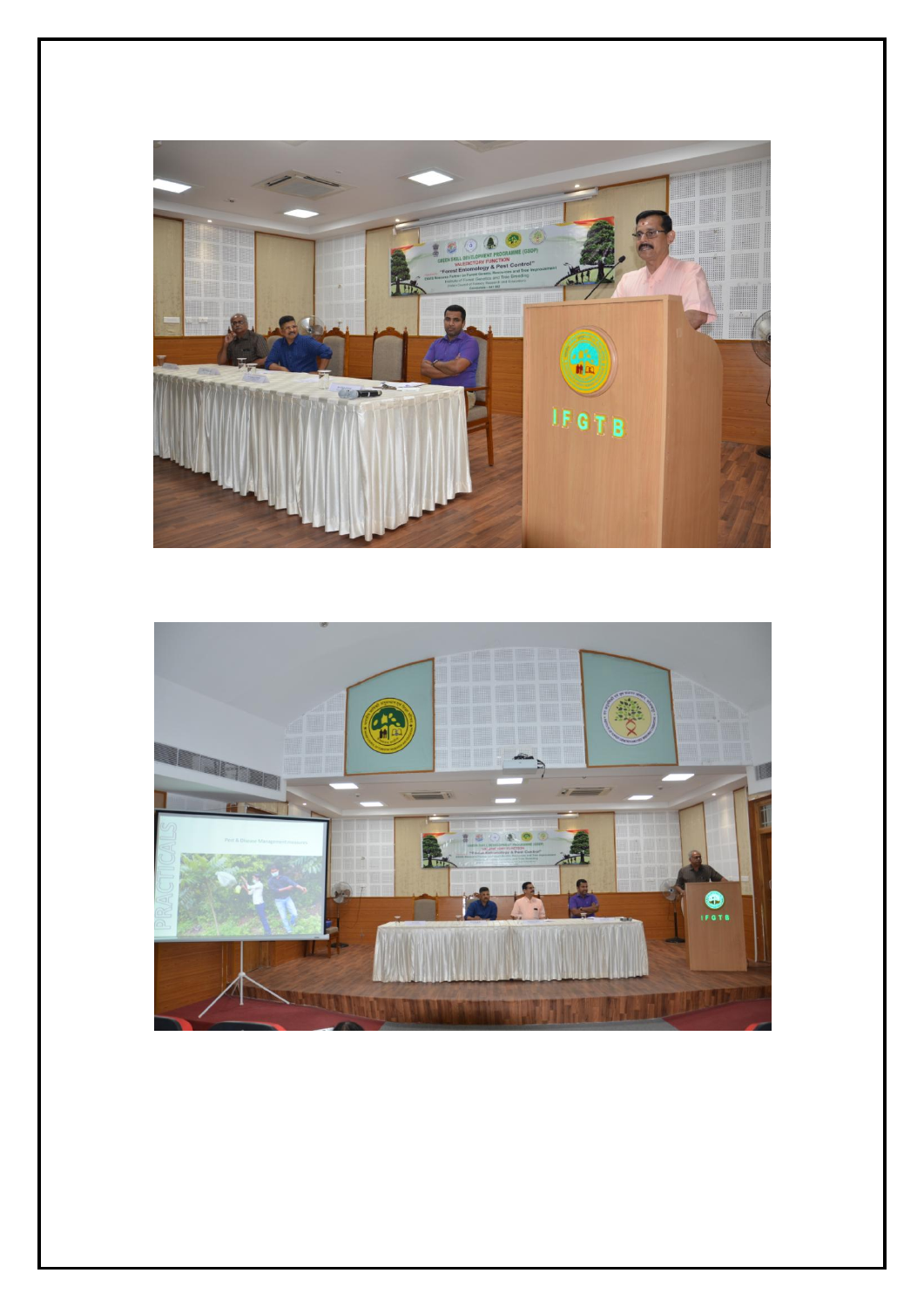

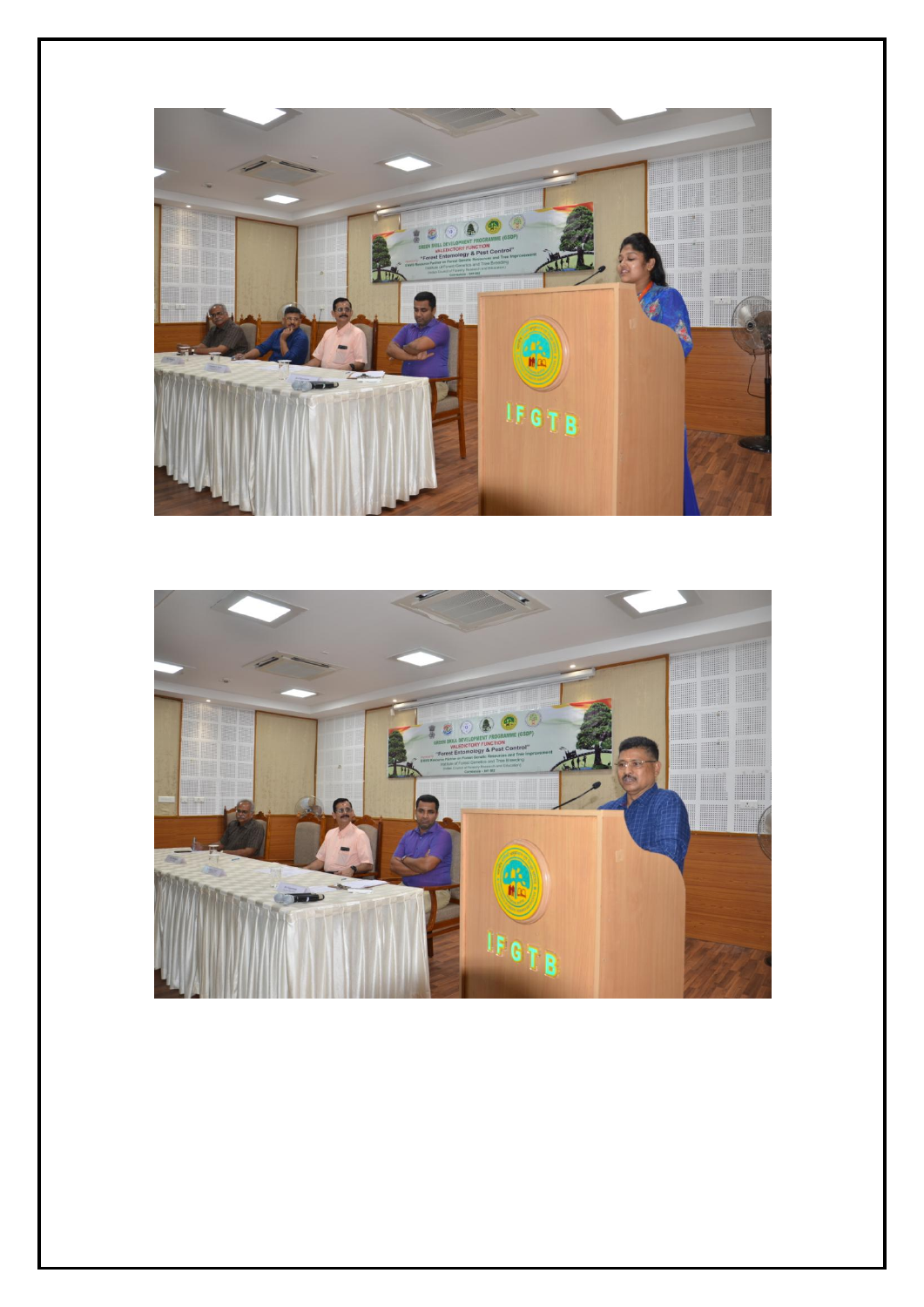

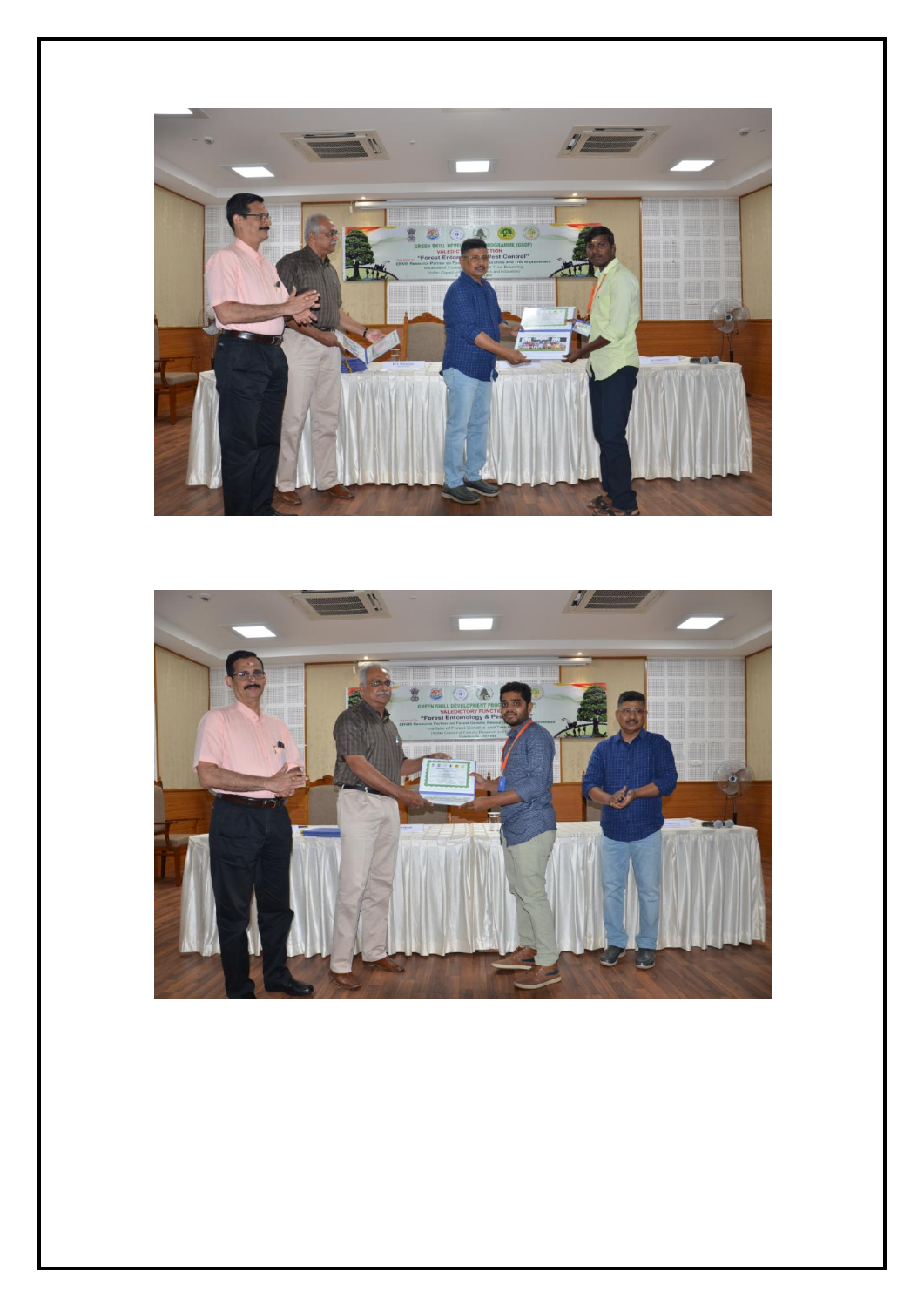